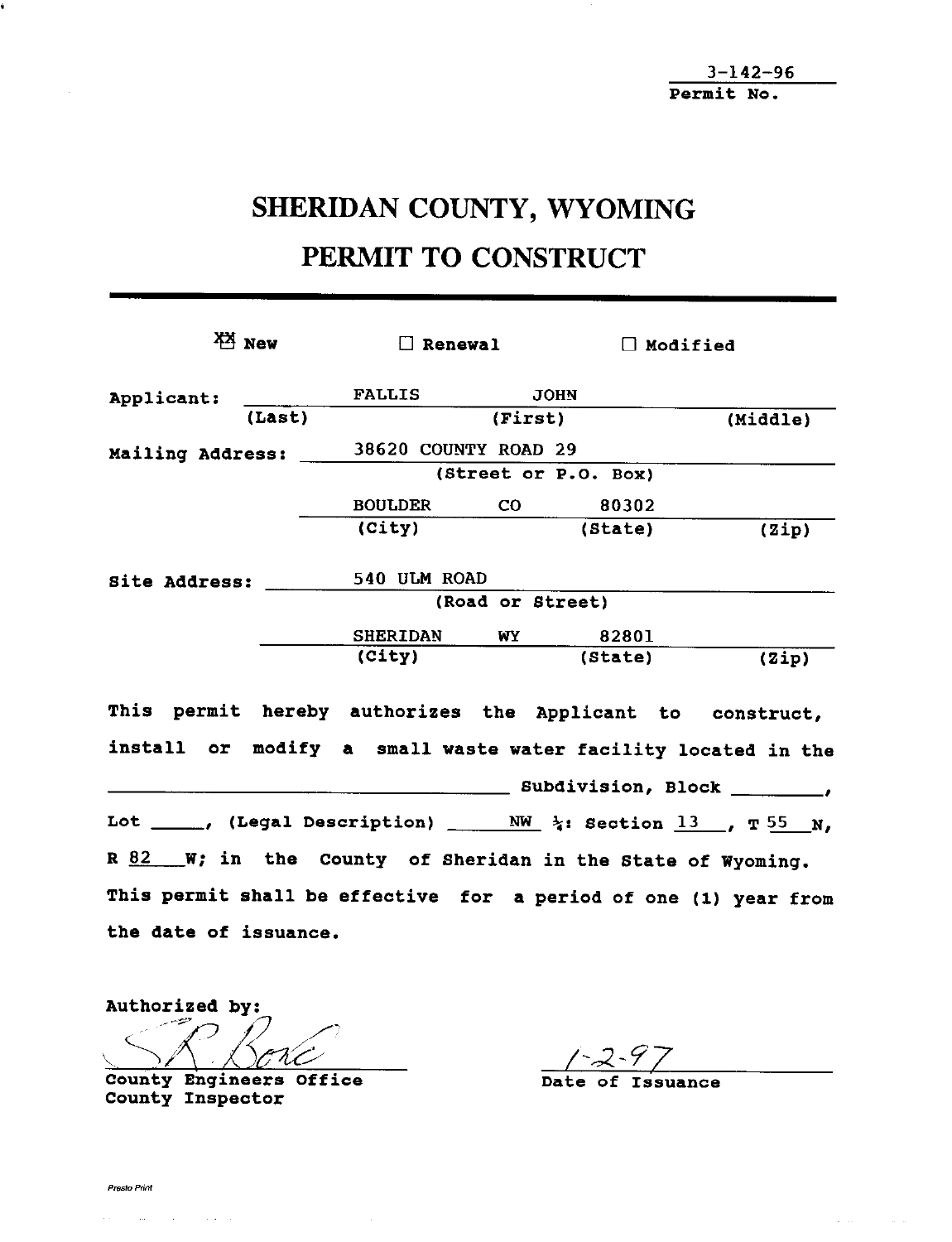3 – 142 – 96 Permit No.

## SHERIDAN COUNTY, WYOMING PERMIT TO CONSTRUCT

|                       | $X_1$ New | $\Box$ Renewal                                                                       |         | $\Box$ Modified            |          |  |  |
|-----------------------|-----------|--------------------------------------------------------------------------------------|---------|----------------------------|----------|--|--|
| Applicant:            |           | FALLIS JOHN                                                                          |         |                            |          |  |  |
|                       | (Last)    |                                                                                      | (First) |                            | (Middle) |  |  |
|                       |           | Mailing Address: 38620 COUNTY ROAD 29                                                |         |                            |          |  |  |
|                       |           | (Street or P.O. Box)                                                                 |         |                            |          |  |  |
|                       |           | BOULDER CO 80302                                                                     |         |                            |          |  |  |
|                       |           | (City)                                                                               |         | (State)                    | (2ip)    |  |  |
|                       |           | Site Address: 540 ULM ROAD                                                           |         |                            |          |  |  |
|                       |           | (Road or Street)                                                                     |         |                            |          |  |  |
|                       |           | <b>SHERIDAN</b>                                                                      | WY      | 82801                      |          |  |  |
|                       |           | (City)                                                                               |         | (State)                    | (Zip)    |  |  |
|                       |           | This permit hereby authorizes the Applicant to construct,                            |         |                            |          |  |  |
|                       |           | install or modify a small waste water facility located in the                        |         |                            |          |  |  |
|                       |           |                                                                                      |         | Subdivision, Block ______, |          |  |  |
|                       |           | Lot _____, (Legal Description) ______ NW_ $\frac{13}{4}$ : Section 13 __, T 55 __ N, |         |                            |          |  |  |
|                       |           | $R$ 82 W; in the County of Sheridan in the State of Wyoming.                         |         |                            |          |  |  |
|                       |           | This permit shall be effective for a period of one (1) year from                     |         |                            |          |  |  |
| the date of issuance. |           |                                                                                      |         |                            |          |  |  |

Authorized by: County Engineers Office Date of Issuance

County Inspector

 $\sim$   $\sim$ 

 $\Delta \sim 10^{11}$  km s  $^{-1}$ 

 $\sim 10^{11}$  km  $^{-1}$ 

 $\alpha$  , and  $\alpha$  , and  $\alpha$  , and  $\alpha$  , and  $\alpha$ 

á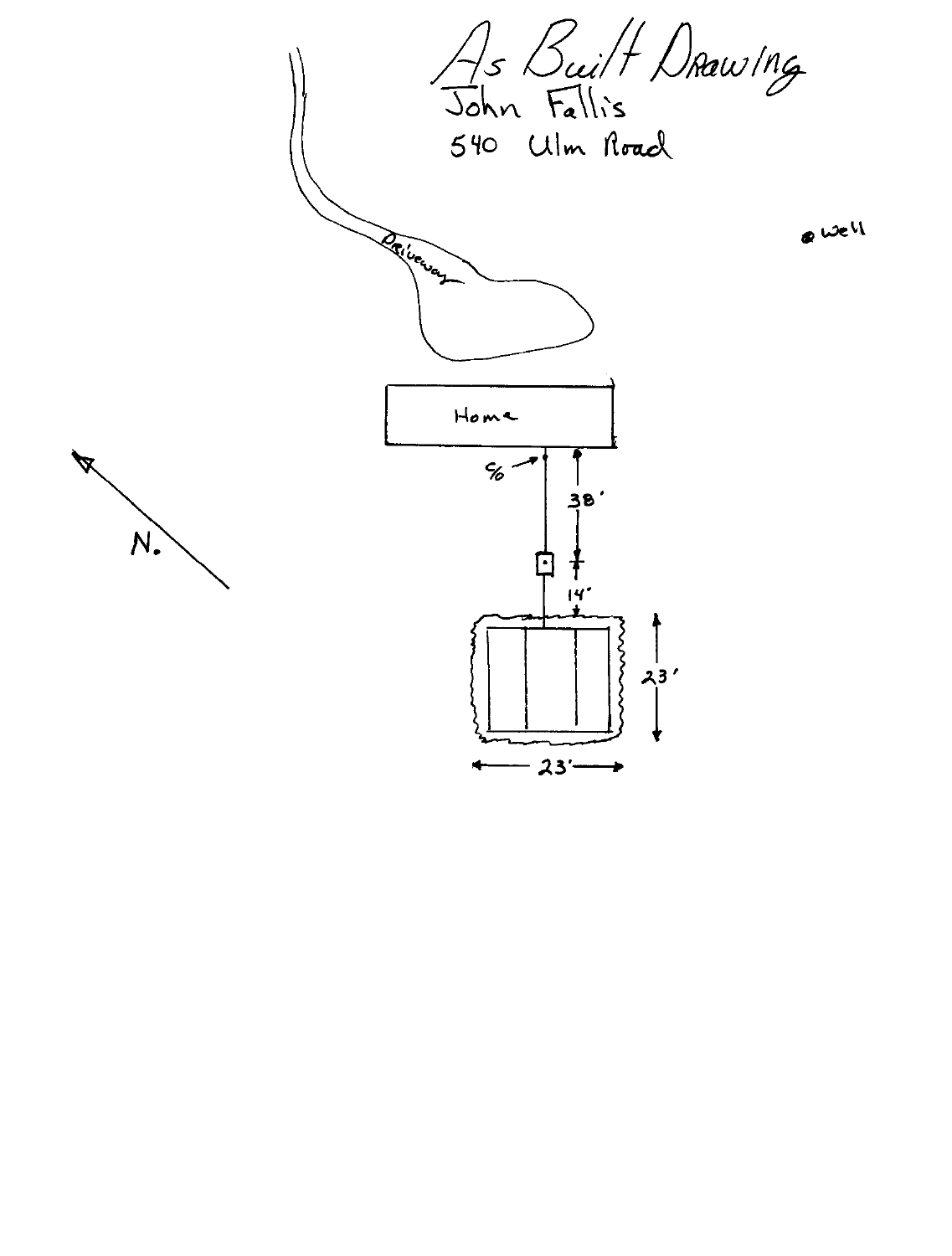